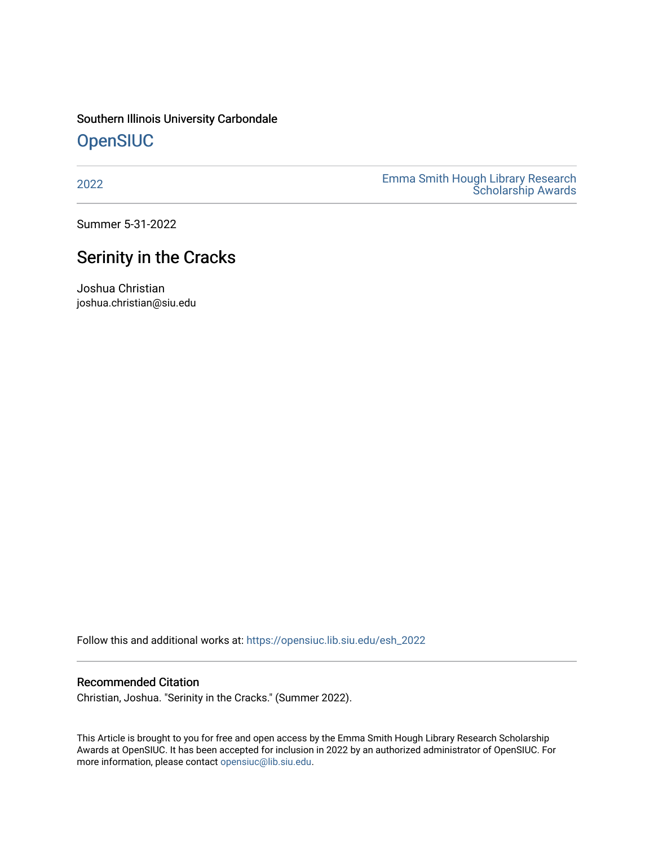## Southern Illinois University Carbondale **OpenSIUC**

[2022](https://opensiuc.lib.siu.edu/esh_2022) [Emma Smith Hough Library Research](https://opensiuc.lib.siu.edu/morris_esh)  [Scholarship Awards](https://opensiuc.lib.siu.edu/morris_esh) 

Summer 5-31-2022

# Serinity in the Cracks

Joshua Christian joshua.christian@siu.edu

Follow this and additional works at: [https://opensiuc.lib.siu.edu/esh\\_2022](https://opensiuc.lib.siu.edu/esh_2022?utm_source=opensiuc.lib.siu.edu%2Fesh_2022%2F1&utm_medium=PDF&utm_campaign=PDFCoverPages) 

### Recommended Citation

Christian, Joshua. "Serinity in the Cracks." (Summer 2022).

This Article is brought to you for free and open access by the Emma Smith Hough Library Research Scholarship Awards at OpenSIUC. It has been accepted for inclusion in 2022 by an authorized administrator of OpenSIUC. For more information, please contact [opensiuc@lib.siu.edu.](mailto:opensiuc@lib.siu.edu)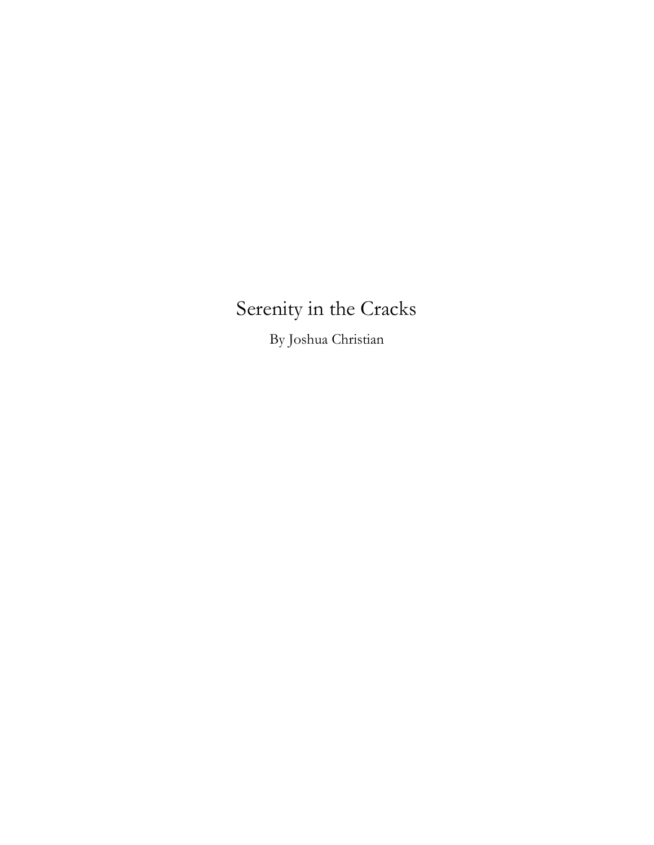# Serenity in the Cracks

By Joshua Christian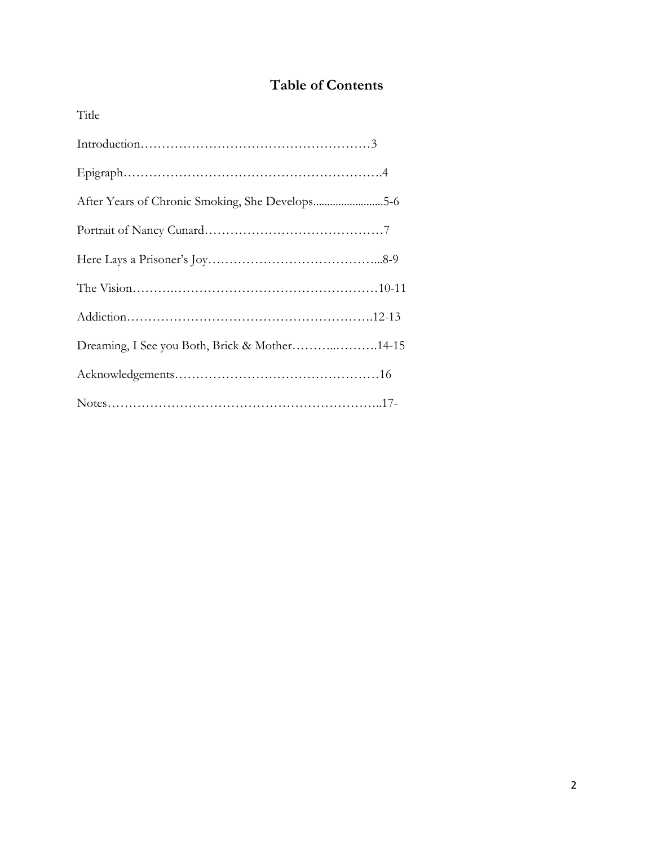# **Table of Contents**

| Title                                           |  |
|-------------------------------------------------|--|
|                                                 |  |
|                                                 |  |
| After Years of Chronic Smoking, She Develops5-6 |  |
|                                                 |  |
|                                                 |  |
|                                                 |  |
|                                                 |  |
| Dreaming, I See you Both, Brick & Mother14-15   |  |
|                                                 |  |
|                                                 |  |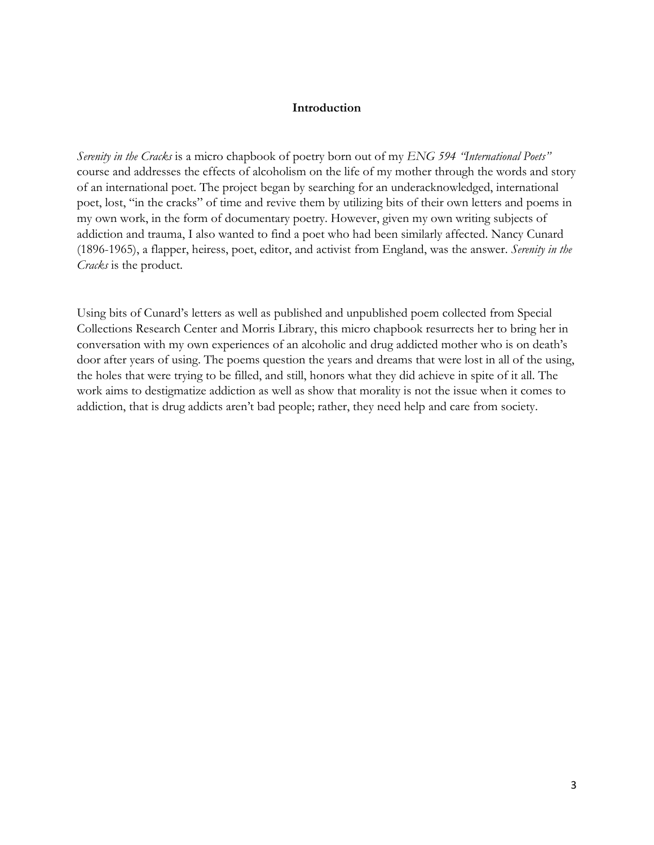#### **Introduction**

*Serenity in the Cracks* is a micro chapbook of poetry born out of my *ENG 594 "International Poets"* course and addresses the effects of alcoholism on the life of my mother through the words and story of an international poet. The project began by searching for an underacknowledged, international poet, lost, "in the cracks" of time and revive them by utilizing bits of their own letters and poems in my own work, in the form of documentary poetry. However, given my own writing subjects of addiction and trauma, I also wanted to find a poet who had been similarly affected. Nancy Cunard (1896-1965), a flapper, heiress, poet, editor, and activist from England, was the answer. *Serenity in the Cracks* is the product.

Using bits of Cunard's letters as well as published and unpublished poem collected from Special Collections Research Center and Morris Library, this micro chapbook resurrects her to bring her in conversation with my own experiences of an alcoholic and drug addicted mother who is on death's door after years of using. The poems question the years and dreams that were lost in all of the using, the holes that were trying to be filled, and still, honors what they did achieve in spite of it all. The work aims to destigmatize addiction as well as show that morality is not the issue when it comes to addiction, that is drug addicts aren't bad people; rather, they need help and care from society.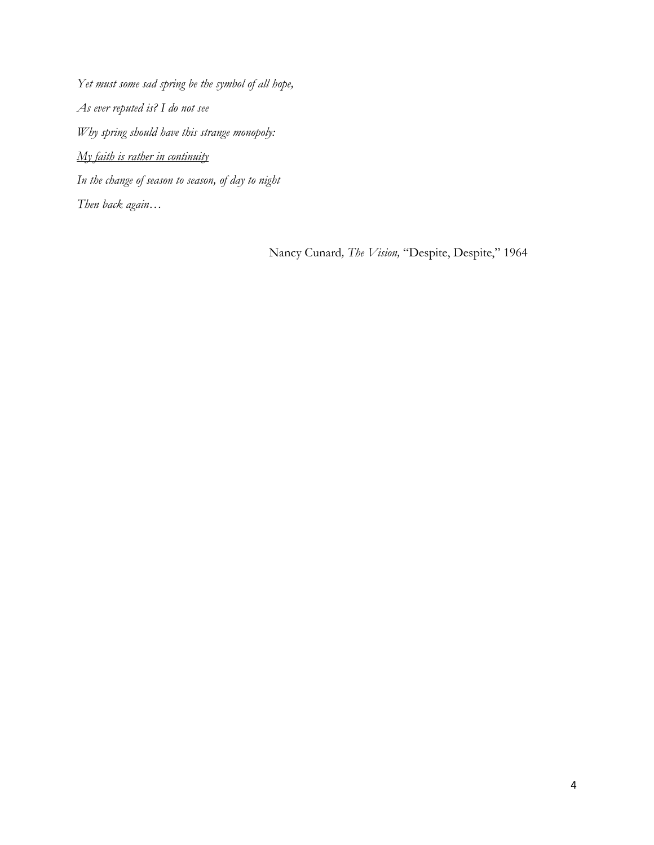*Yet must some sad spring be the symbol of all hope, As ever reputed is? I do not see Why spring should have this strange monopoly: My faith is rather in continuity In the change of season to season, of day to night Then back again…*

Nancy Cunard*, The Vision,* "Despite, Despite," 1964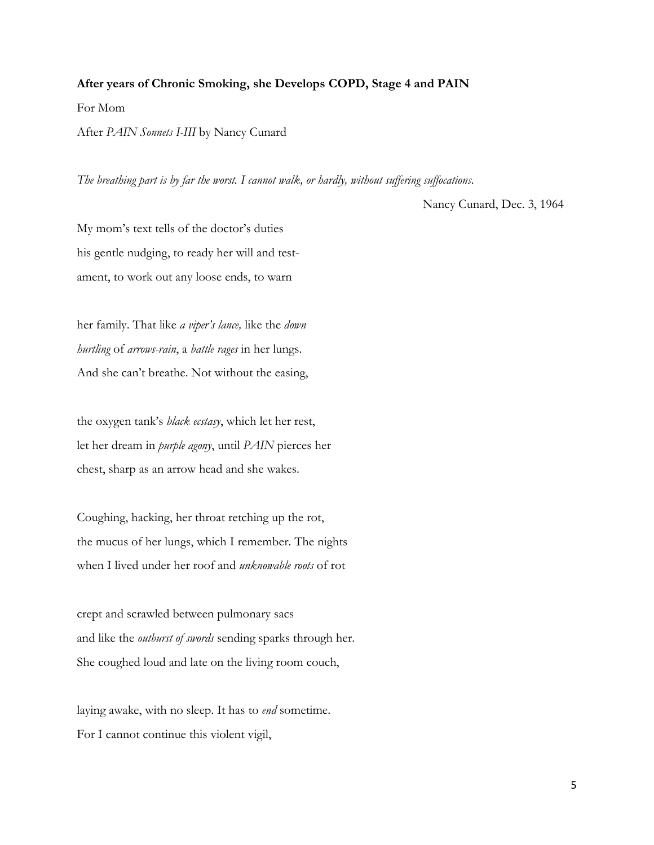#### **After years of Chronic Smoking, she Develops COPD, Stage 4 and PAIN**

For Mom

After *PAIN Sonnets I-III* by Nancy Cunard

*The breathing part is by far the worst. I cannot walk, or hardly, without suffering suffocations.* 

Nancy Cunard, Dec. 3, 1964

My mom's text tells of the doctor's duties his gentle nudging, to ready her will and testament, to work out any loose ends, to warn

her family. That like *a viper's lance,* like the *down hurtling* of *arrows-rain*, a *battle rages* in her lungs. And she can't breathe. Not without the easing,

the oxygen tank's *black ecstasy*, which let her rest, let her dream in *purple agony*, until *PAIN* pierces her chest, sharp as an arrow head and she wakes.

Coughing, hacking, her throat retching up the rot, the mucus of her lungs, which I remember. The nights when I lived under her roof and *unknowable roots* of rot

crept and scrawled between pulmonary sacs and like the *outburst of swords* sending sparks through her. She coughed loud and late on the living room couch,

laying awake, with no sleep. It has to *end* sometime. For I cannot continue this violent vigil,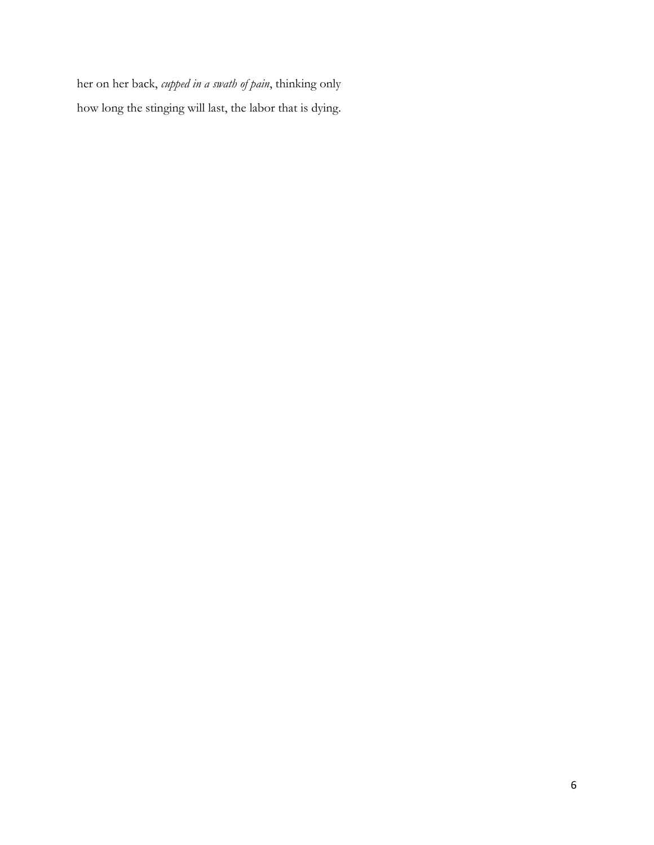her on her back, *cupped in a swath of pain*, thinking only how long the stinging will last, the labor that is dying.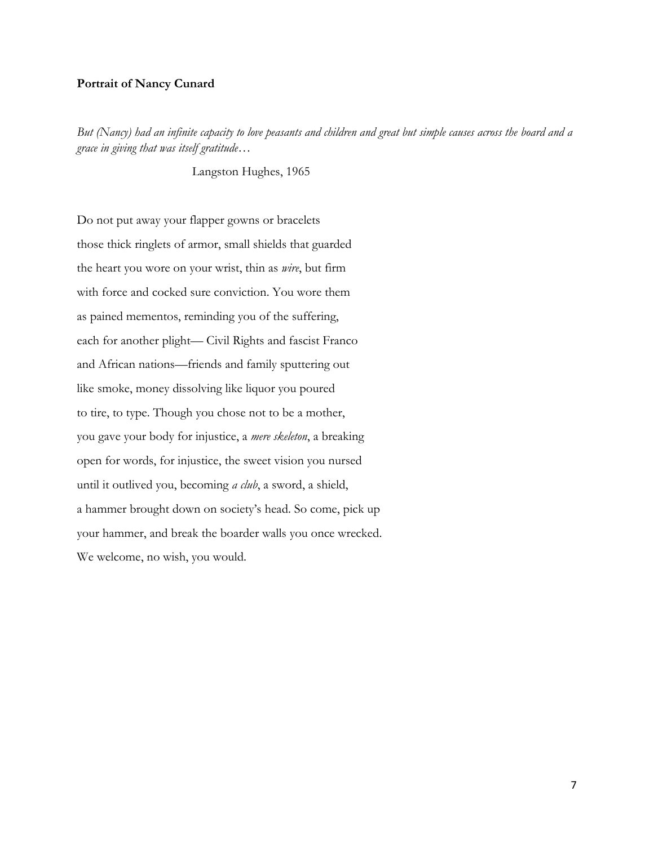#### **Portrait of Nancy Cunard**

*But (Nancy) had an infinite capacity to love peasants and children and great but simple causes across the board and a grace in giving that was itself gratitude…*

Langston Hughes, 1965

Do not put away your flapper gowns or bracelets those thick ringlets of armor, small shields that guarded the heart you wore on your wrist, thin as *wire*, but firm with force and cocked sure conviction. You wore them as pained mementos, reminding you of the suffering, each for another plight— Civil Rights and fascist Franco and African nations—friends and family sputtering out like smoke, money dissolving like liquor you poured to tire, to type. Though you chose not to be a mother, you gave your body for injustice, a *mere skeleton*, a breaking open for words, for injustice, the sweet vision you nursed until it outlived you, becoming *a club*, a sword, a shield, a hammer brought down on society's head. So come, pick up your hammer, and break the boarder walls you once wrecked. We welcome, no wish, you would.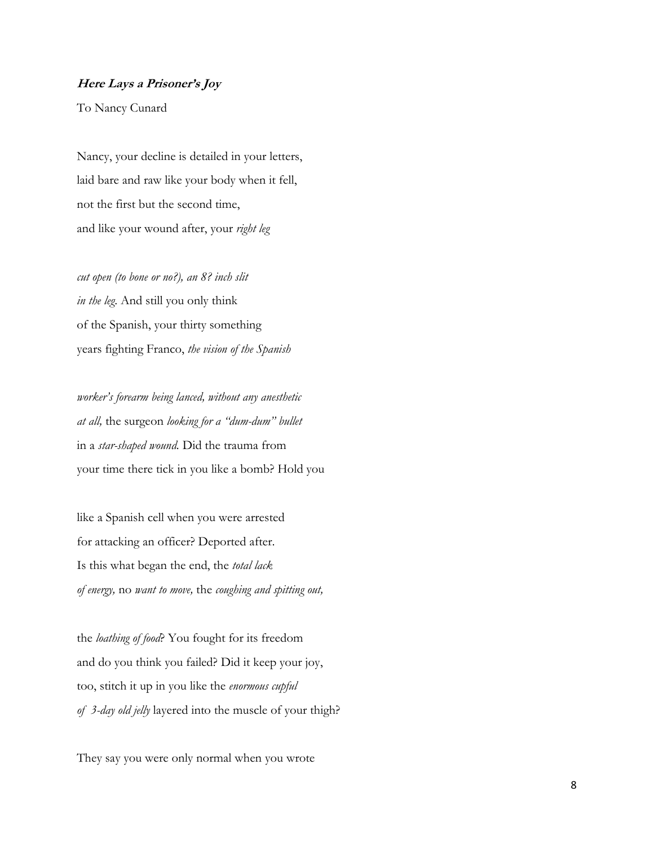#### **Here Lays a Prisoner's Joy**

To Nancy Cunard

Nancy, your decline is detailed in your letters, laid bare and raw like your body when it fell, not the first but the second time, and like your wound after, your *right leg* 

*cut open (to bone or no?), an 8? inch slit in the leg*. And still you only think of the Spanish, your thirty something years fighting Franco, *the vision of the Spanish* 

*worker's forearm being lanced, without any anesthetic at all,* the surgeon *looking for a "dum-dum" bullet* in a *star-shaped wound.* Did the trauma from your time there tick in you like a bomb? Hold you

like a Spanish cell when you were arrested for attacking an officer? Deported after. Is this what began the end, the *total lack of energy,* no *want to move,* the *coughing and spitting out,* 

the *loathing of food*? You fought for its freedom and do you think you failed? Did it keep your joy, too, stitch it up in you like the *enormous cupful of 3-day old jelly* layered into the muscle of your thigh?

They say you were only normal when you wrote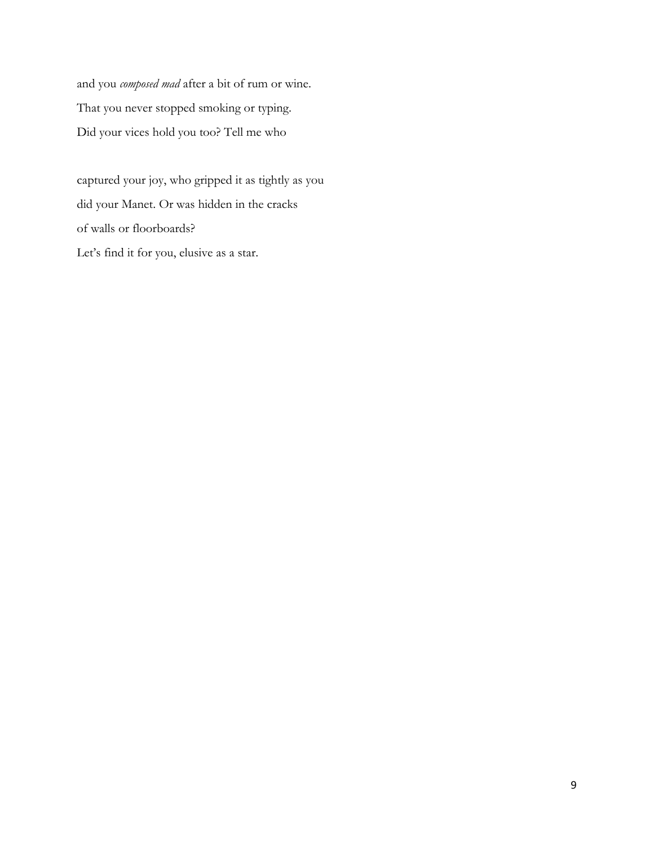and you *composed mad* after a bit of rum or wine. That you never stopped smoking or typing. Did your vices hold you too? Tell me who

captured your joy, who gripped it as tightly as you did your Manet. Or was hidden in the cracks of walls or floorboards? Let's find it for you, elusive as a star.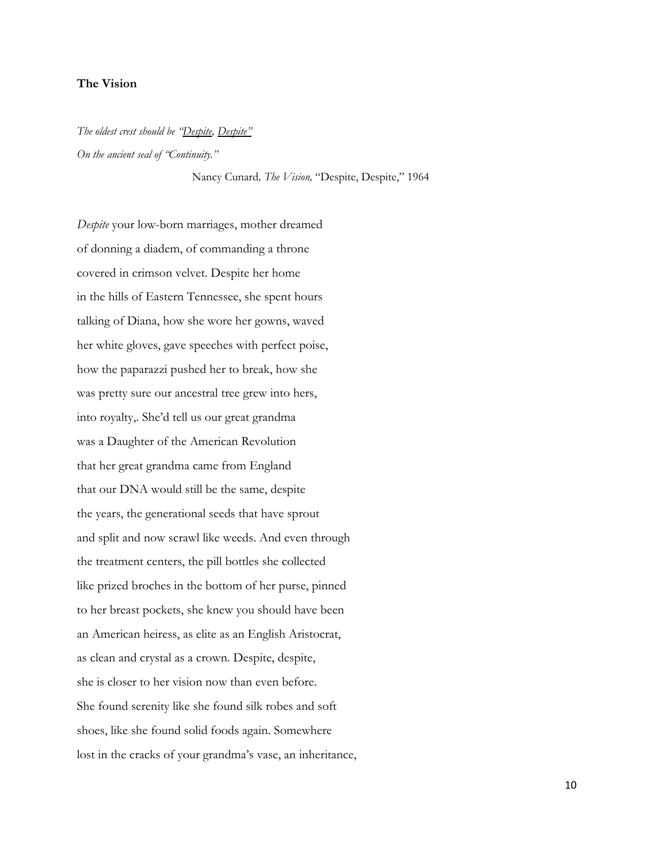#### **The Vision**

*The oldest crest should be "Despite, Despite" On the ancient seal of "Continuity."* 

Nancy Cunard*, The Vision,* "Despite, Despite," 1964

*Despite* your low-born marriages, mother dreamed of donning a diadem, of commanding a throne covered in crimson velvet. Despite her home in the hills of Eastern Tennessee, she spent hours talking of Diana, how she wore her gowns, waved her white gloves, gave speeches with perfect poise, how the paparazzi pushed her to break, how she was pretty sure our ancestral tree grew into hers, into royalty,. She'd tell us our great grandma was a Daughter of the American Revolution that her great grandma came from England that our DNA would still be the same, despite the years, the generational seeds that have sprout and split and now scrawl like weeds. And even through the treatment centers, the pill bottles she collected like prized broches in the bottom of her purse, pinned to her breast pockets, she knew you should have been an American heiress, as elite as an English Aristocrat, as clean and crystal as a crown. Despite, despite, she is closer to her vision now than even before. She found serenity like she found silk robes and soft shoes, like she found solid foods again. Somewhere lost in the cracks of your grandma's vase, an inheritance,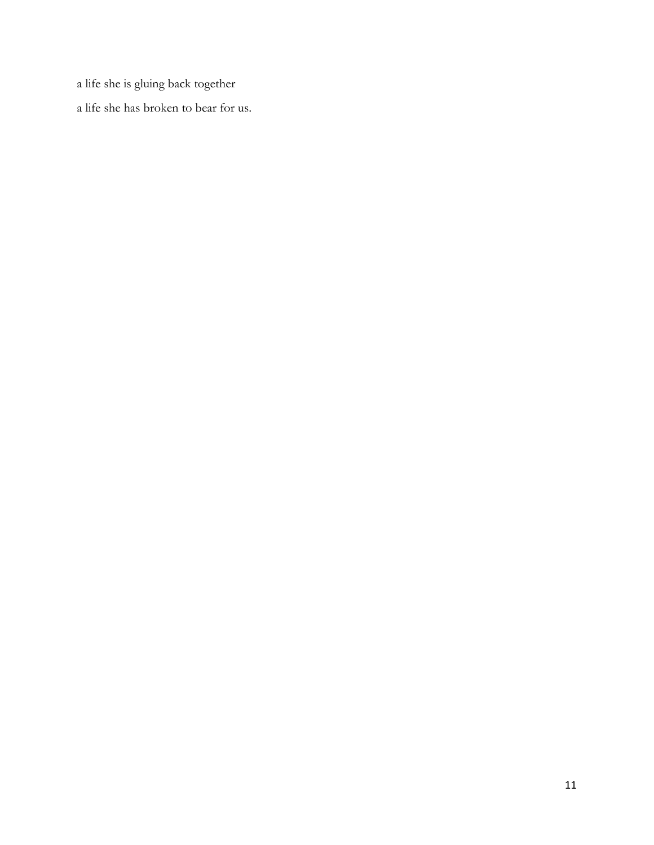a life she is gluing back together

a life she has broken to bear for us.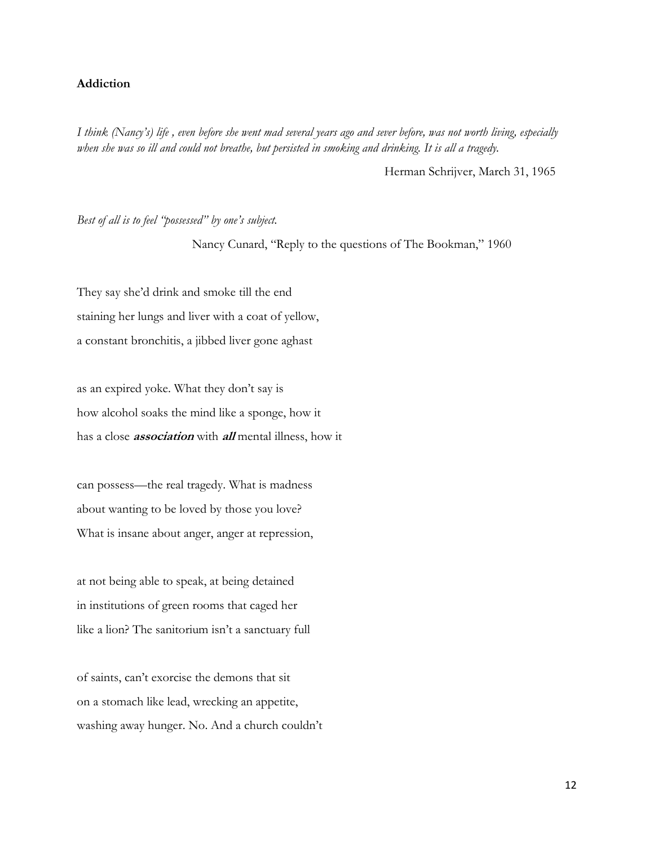#### **Addiction**

*I think (Nancy's) life , even before she went mad several years ago and sever before, was not worth living, especially when she was so ill and could not breathe, but persisted in smoking and drinking. It is all a tragedy.* 

Herman Schrijver, March 31, 1965

*Best of all is to feel "possessed" by one's subject.*

Nancy Cunard, "Reply to the questions of The Bookman," 1960

They say she'd drink and smoke till the end staining her lungs and liver with a coat of yellow, a constant bronchitis, a jibbed liver gone aghast

as an expired yoke. What they don't say is how alcohol soaks the mind like a sponge, how it has a close **association** with **all** mental illness, how it

can possess—the real tragedy. What is madness about wanting to be loved by those you love? What is insane about anger, anger at repression,

at not being able to speak, at being detained in institutions of green rooms that caged her like a lion? The sanitorium isn't a sanctuary full

of saints, can't exorcise the demons that sit on a stomach like lead, wrecking an appetite, washing away hunger. No. And a church couldn't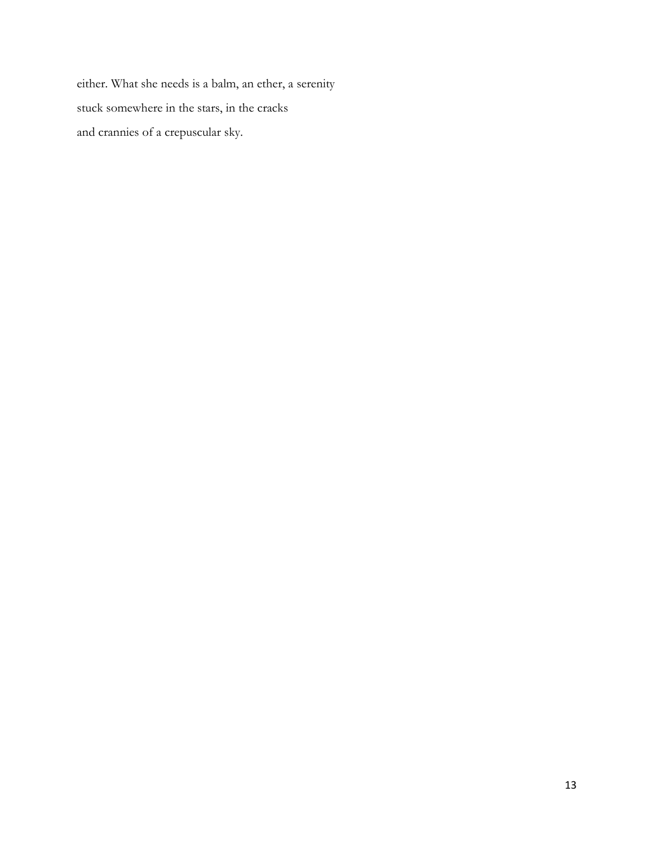either. What she needs is a balm, an ether, a serenity stuck somewhere in the stars, in the cracks and crannies of a crepuscular sky.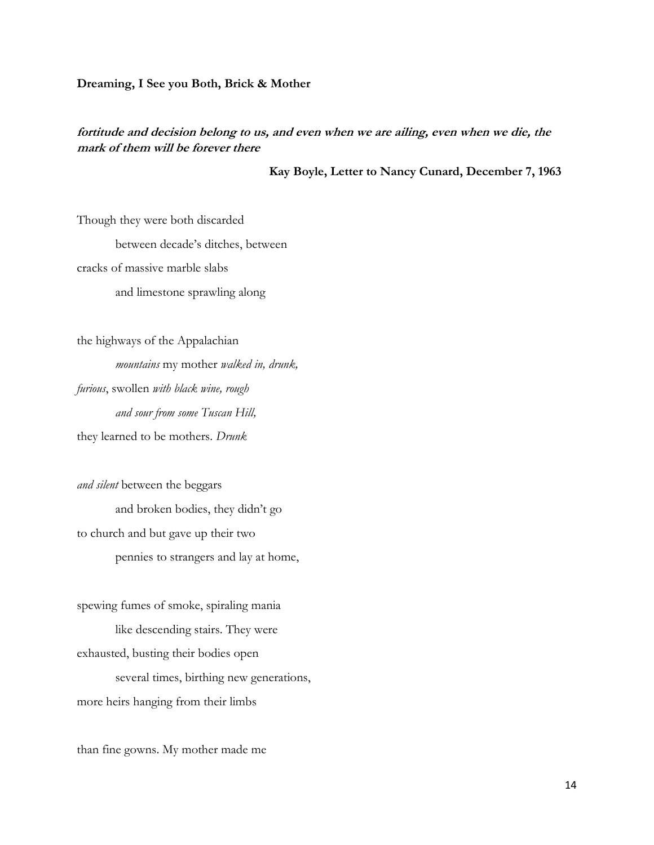#### **Dreaming, I See you Both, Brick & Mother**

#### **fortitude and decision belong to us, and even when we are ailing, even when we die, the mark of them will be forever there**

**Kay Boyle, Letter to Nancy Cunard, December 7, 1963**

Though they were both discarded between decade's ditches, between cracks of massive marble slabs and limestone sprawling along

the highways of the Appalachian *mountains* my mother *walked in, drunk, furious*, swollen *with black wine, rough and sour from some Tuscan Hill,*  they learned to be mothers. *Drunk* 

*and silent* between the beggars and broken bodies, they didn't go to church and but gave up their two pennies to strangers and lay at home,

spewing fumes of smoke, spiraling mania like descending stairs. They were exhausted, busting their bodies open several times, birthing new generations, more heirs hanging from their limbs

than fine gowns. My mother made me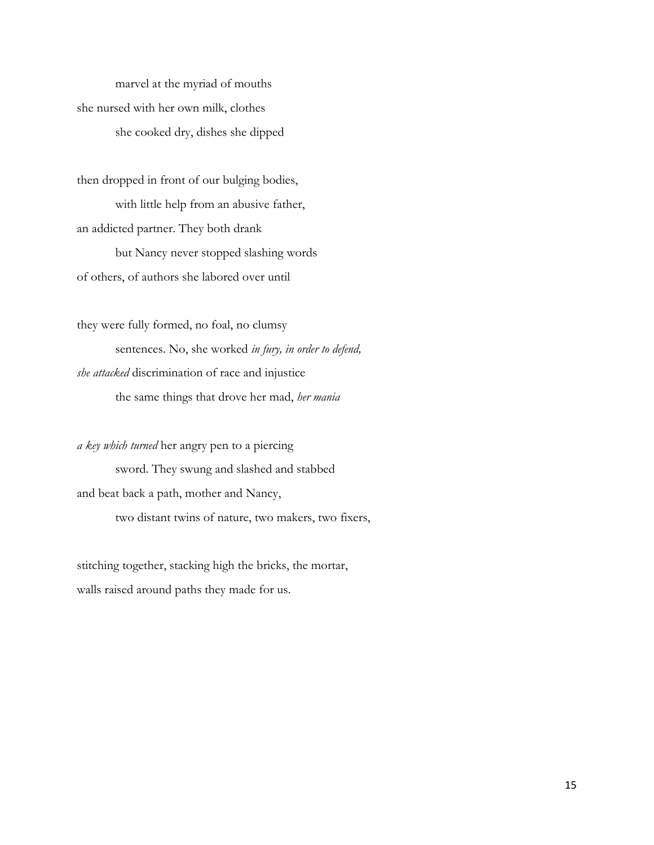marvel at the myriad of mouths she nursed with her own milk, clothes she cooked dry, dishes she dipped

then dropped in front of our bulging bodies, with little help from an abusive father, an addicted partner. They both drank but Nancy never stopped slashing words of others, of authors she labored over until

they were fully formed, no foal, no clumsy sentences. No, she worked *in fury, in order to defend, she attacked* discrimination of race and injustice the same things that drove her mad, *her mania* 

*a key which turned* her angry pen to a piercing sword. They swung and slashed and stabbed and beat back a path, mother and Nancy, two distant twins of nature, two makers, two fixers,

stitching together, stacking high the bricks, the mortar, walls raised around paths they made for us.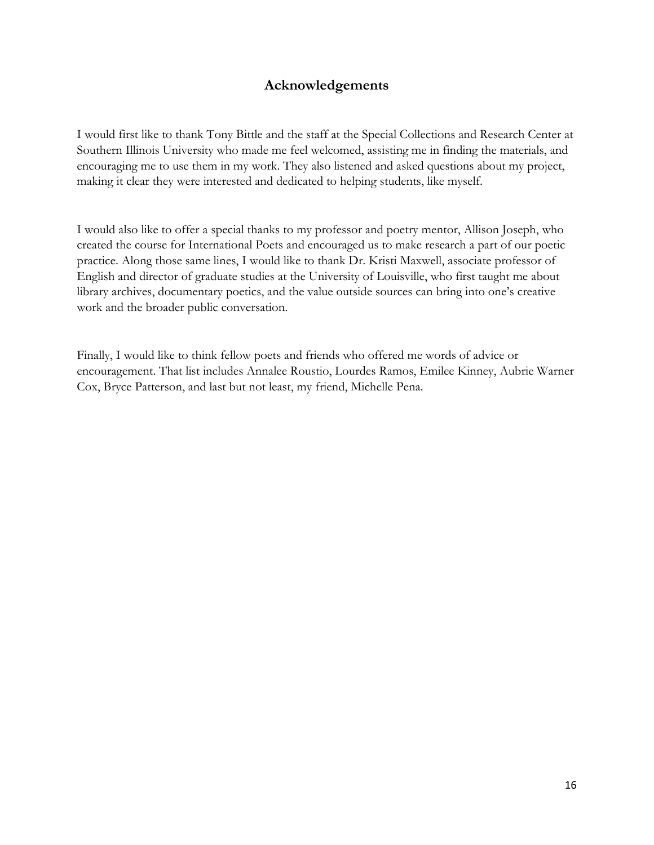## **Acknowledgements**

I would first like to thank Tony Bittle and the staff at the Special Collections and Research Center at Southern Illinois University who made me feel welcomed, assisting me in finding the materials, and encouraging me to use them in my work. They also listened and asked questions about my project, making it clear they were interested and dedicated to helping students, like myself.

I would also like to offer a special thanks to my professor and poetry mentor, Allison Joseph, who created the course for International Poets and encouraged us to make research a part of our poetic practice. Along those same lines, I would like to thank Dr. Kristi Maxwell, associate professor of English and director of graduate studies at the University of Louisville, who first taught me about library archives, documentary poetics, and the value outside sources can bring into one's creative work and the broader public conversation.

Finally, I would like to think fellow poets and friends who offered me words of advice or encouragement. That list includes Annalee Roustio, Lourdes Ramos, Emilee Kinney, Aubrie Warner Cox, Bryce Patterson, and last but not least, my friend, Michelle Pena.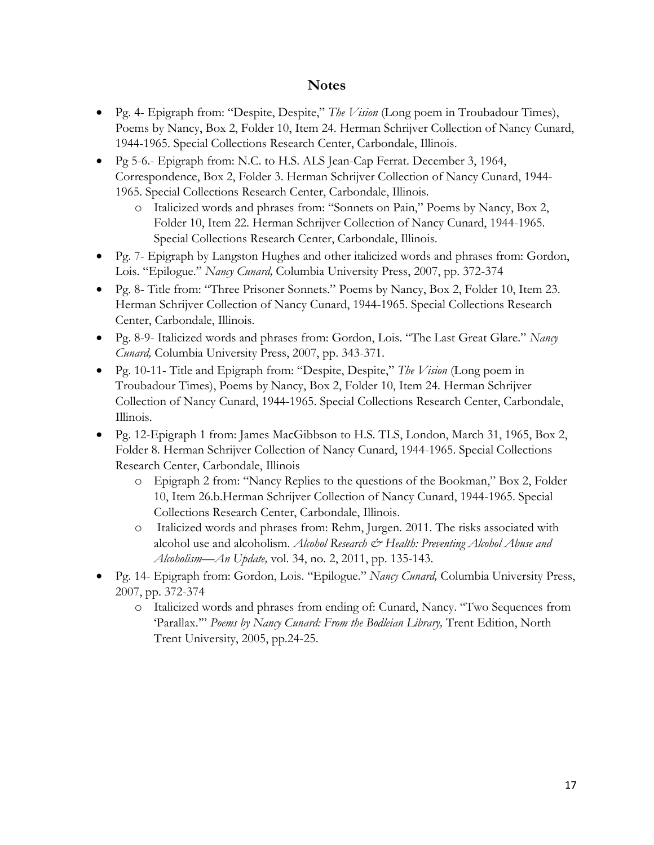## **Notes**

- Pg. 4- Epigraph from: "Despite, Despite," *The Vision* (Long poem in Troubadour Times), Poems by Nancy, Box 2, Folder 10, Item 24. Herman Schrijver Collection of Nancy Cunard, 1944-1965. Special Collections Research Center, Carbondale, Illinois.
- Pg 5-6.- Epigraph from: N.C. to H.S. ALS Jean-Cap Ferrat. December 3, 1964, Correspondence, Box 2, Folder 3. Herman Schrijver Collection of Nancy Cunard, 1944- 1965. Special Collections Research Center, Carbondale, Illinois.
	- o Italicized words and phrases from: "Sonnets on Pain," Poems by Nancy, Box 2, Folder 10, Item 22. Herman Schrijver Collection of Nancy Cunard, 1944-1965. Special Collections Research Center, Carbondale, Illinois.
- Pg. 7- Epigraph by Langston Hughes and other italicized words and phrases from: Gordon, Lois. "Epilogue." *Nancy Cunard,* Columbia University Press, 2007, pp. 372-374
- Pg. 8- Title from: "Three Prisoner Sonnets." Poems by Nancy, Box 2, Folder 10, Item 23. Herman Schrijver Collection of Nancy Cunard, 1944-1965. Special Collections Research Center, Carbondale, Illinois.
- Pg. 8-9- Italicized words and phrases from: Gordon, Lois. "The Last Great Glare." *Nancy Cunard,* Columbia University Press, 2007, pp. 343-371.
- Pg. 10-11- Title and Epigraph from: "Despite, Despite," *The Vision* (Long poem in Troubadour Times), Poems by Nancy, Box 2, Folder 10, Item 24. Herman Schrijver Collection of Nancy Cunard, 1944-1965. Special Collections Research Center, Carbondale, Illinois.
- Pg. 12-Epigraph 1 from: James MacGibbson to H.S. TLS, London, March 31, 1965, Box 2, Folder 8. Herman Schrijver Collection of Nancy Cunard, 1944-1965. Special Collections Research Center, Carbondale, Illinois
	- o Epigraph 2 from: "Nancy Replies to the questions of the Bookman," Box 2, Folder 10, Item 26.b.Herman Schrijver Collection of Nancy Cunard, 1944-1965. Special Collections Research Center, Carbondale, Illinois.
	- o Italicized words and phrases from: Rehm, Jurgen. 2011. The risks associated with alcohol use and alcoholism. *Alcohol Research & Health: Preventing Alcohol Abuse and Alcoholism—An Update,* vol. 34, no. 2, 2011, pp. 135-143.
- Pg. 14- Epigraph from: Gordon, Lois. "Epilogue." *Nancy Cunard,* Columbia University Press, 2007, pp. 372-374
	- o Italicized words and phrases from ending of: Cunard, Nancy. "Two Sequences from 'Parallax."" Poems by Nancy Cunard: From the Bodleian Library, Trent Edition, North Trent University, 2005, pp.24-25.